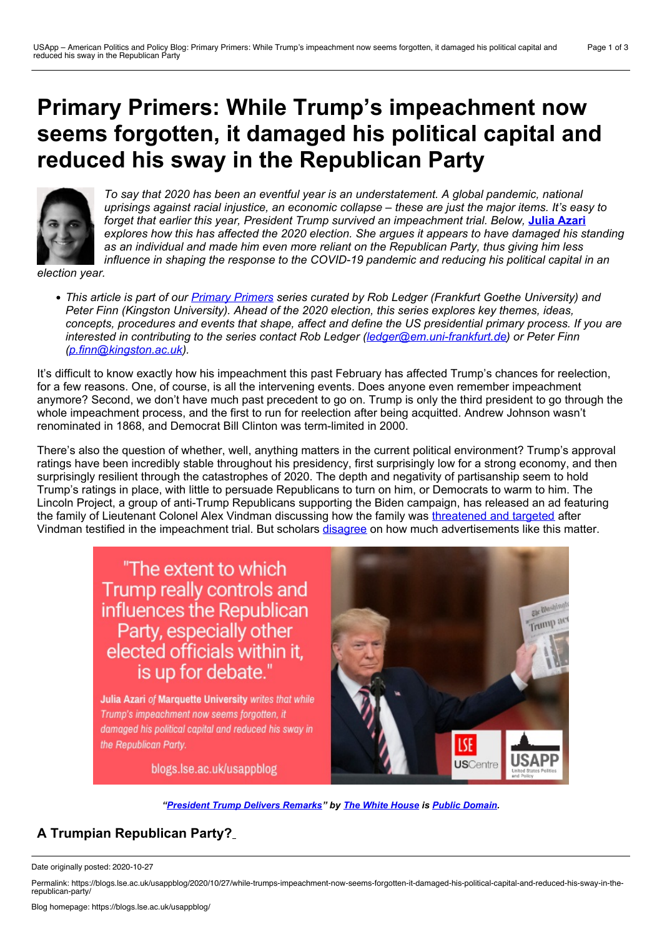# **Primary Primers: While Trump's impeachment now seems forgotten, it damaged his political capital and reduced his sway in the Republican Party**



*To say that 2020 has been an eventful year is an understatement. A global pandemic, national uprisings against racial injustice, an economic collapse – these are just the major items. It's easy to forget that earlier this year, President Trump survived an impeachment trial. Below,* **Julia [Azari](https://wp.me/p3I2YF-arv#Author)** *explores how this has affected the 2020 election. She argues it appears to have damaged his standing as an individual and made him even more reliant on the Republican Party, thus giving him less influence in shaping the response to the COVID-19 pandemic and reducing his political capital in an*

*election year.*

• This article is part of our *Primary [Primers](https://blogs.lse.ac.uk/usappblog/primary-primers-series-for-the-2020-election/)* series curated by Rob Ledger (Frankfurt Goethe University) and *Peter Finn (Kingston University). Ahead of the 2020 election, this series explores key themes, ideas,* concepts, procedures and events that shape, affect and define the US presidential primary process. If you are *interested in contributing to the series contact Rob Ledger ([ledger@em.uni-frankfurt.de](mailto:ledger@em.uni-frankfurt.de)) or Peter Finn [\(p.finn@kingston.ac.uk\)](mailto:p.finn@kingston.ac.uk).*

It's difficult to know exactly how his impeachment this past February has affected Trump's chances for reelection, for a few reasons. One, of course, is all the intervening events. Does anyone even remember impeachment anymore? Second, we don't have much past precedent to go on. Trump is only the third president to go through the whole impeachment process, and the first to run for reelection after being acquitted. Andrew Johnson wasn't renominated in 1868, and Democrat Bill Clinton was term-limited in 2000.

There's also the question of whether, well, anything matters in the current political environment? Trump's approval ratings have been incredibly stable throughout his presidency, first surprisingly low for a strong economy, and then surprisingly resilient through the catastrophes of 2020. The depth and negativity of partisanship seem to hold Trump's ratings in place, with little to persuade Republicans to turn on him, or Democrats to warm to him. The Lincoln Project, a group of anti-Trump Republicans supporting the Biden campaign, has released an ad featuring the family of Lieutenant Colonel Alex Vindman discussing how the family was [threatened](https://lincolnproject.us/news/family/) and targeted after Vindman testified in the impeachment trial. But scholars [disagree](https://journalistsresource.org/studies/politics/ads-public-opinion/negative-political-ads-effects-voters-research-roundup/) on how much advertisements like this matter.

> "The extent to which Trump really controls and influences the Republican Party, especially other elected officials within it, is up for debate."

Julia Azari of Marquette University writes that while Trump's impeachment now seems forgotten, it damaged his political capital and reduced his sway in the Republican Party.



blogs.lse.ac.uk/usappblog

*"[President](https://www.flickr.com/photos/whitehouse/49498772251/) Trump Delivers Remarks" by The White [House](https://www.flickr.com/photos/whitehouse/) is Public [Domain.](https://creativecommons.org/publicdomain/mark/1.0/)*

# **A Trumpian Republican Party?**

Date originally posted: 2020-10-27

Permalink: https://blogs.lse.ac.uk/usappblog/2020/10/27/while-trumps-impeachment-now-seems-forgotten-it-damaged-his-political-capital-and-reduced-his-sway-in-therepublican-party/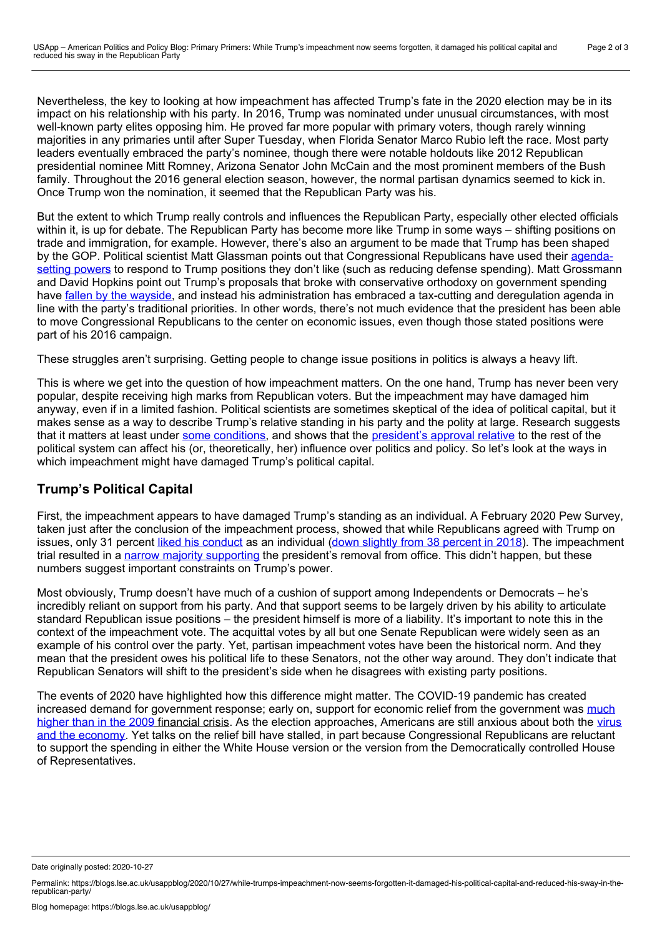Nevertheless, the key to looking at how impeachment has affected Trump's fate in the 2020 election may be in its impact on his relationship with his party. In 2016, Trump was nominated under unusual circumstances, with most well-known party elites opposing him. He proved far more popular with primary voters, though rarely winning majorities in any primaries until after Super Tuesday, when Florida Senator Marco Rubio left the race. Most party leaders eventually embraced the party's nominee, though there were notable holdouts like 2012 Republican presidential nominee Mitt Romney, Arizona Senator John McCain and the most prominent members of the Bush family. Throughout the 2016 general election season, however, the normal partisan dynamics seemed to kick in. Once Trump won the nomination, it seemed that the Republican Party was his.

But the extent to which Trump really controls and influences the Republican Party, especially other elected officials within it, is up for debate. The Republican Party has become more like Trump in some ways – shifting positions on trade and immigration, for example. However, there's also an argument to be made that Trump has been shaped by the GOP. Political scientist Matt Glassman points out that [Congressional](https://www.nytimes.com/2019/02/01/opinion/how-republicans-erased-trumpism.html) Republicans have used their agenda setting powers to respond to Trump positions they don't like (such as reducing defense spending). Matt Grossmann and David Hopkins point out Trump's proposals that broke with conservative orthodoxy on government spending have fallen by the [wayside](https://www.washingtonpost.com/news/monkey-cage/wp/2017/08/02/trump-isnt-changing-the-republican-party-the-republican-party-is-changing-trump/), and instead his administration has embraced a tax-cutting and deregulation agenda in line with the party's traditional priorities. In other words, there's not much evidence that the president has been able to move Congressional Republicans to the center on economic issues, even though those stated positions were part of his 2016 campaign.

These struggles aren't surprising. Getting people to change issue positions in politics is always a heavy lift.

This is where we get into the question of how impeachment matters. On the one hand, Trump has never been very popular, despite receiving high marks from Republican voters. But the impeachment may have damaged him anyway, even if in a limited fashion. Political scientists are sometimes skeptical of the idea of political capital, but it makes sense as a way to describe Trump's relative standing in his party and the polity at large. Research suggests that it matters at least under some [conditions,](https://onlinelibrary.wiley.com/doi/pdf/10.1111/1468-2508.00136?casa_token=Mk-v5VTdOR4AAAAA:8Nj87xW9S76ByjGyQMYr7FwCfYmBcSSOwmFayASzSuLFF8Lw5_7FQvrTxm7eDYdrw-lTRHLXlLqk7g) and shows that the [president's](https://books.google.com/books?hl=en&lr=&id=0L9DDwAAQBAJ&oi=fnd&pg=PT8&dq=dan+ponder+leverage&ots=2UaBIOPRLj&sig=Ipe2ZIMH2FOLEtjqvMFVf820YQk#v=onepage&q=dan%20ponder%20leverage&f=false) approval relative to the rest of the political system can affect his (or, theoretically, her) influence over politics and policy. So let's look at the ways in which impeachment might have damaged Trump's political capital.

## **Trump's Political Capital**

First, the impeachment appears to have damaged Trump's standing as an individual. A February 2020 Pew Survey, taken just after the conclusion of the impeachment process, showed that while Republicans agreed with Trump on issues, only 31 percent liked his [conduct](https://www.pewresearch.org/politics/2020/03/05/few-americans-express-positive-views-of-trumps-conduct-in-office/) as an individual (down slightly from 38 [percent](https://www.pewresearch.org/politics/2018/05/03/trump-viewed-less-negatively-on-issues-but-most-americans-are-critical-of-his-conduct/) in 2018). The impeachment trial resulted in a narrow majority [supporting](https://www.pewresearch.org/politics/2020/01/22/by-a-narrow-margin-americans-say-senate-trial-should-result-in-trumps-removal/) the president's removal from office. This didn't happen, but these numbers suggest important constraints on Trump's power.

Most obviously, Trump doesn't have much of a cushion of support among Independents or Democrats – he's incredibly reliant on support from his party. And that support seems to be largely driven by his ability to articulate standard Republican issue positions – the president himself is more of a liability. It's important to note this in the context of the impeachment vote. The acquittal votes by all but one Senate Republican were widely seen as an example of his control over the party. Yet, partisan impeachment votes have been the historical norm. And they mean that the president owes his political life to these Senators, not the other way around. They don't indicate that Republican Senators will shift to the president's side when he disagrees with existing party positions.

The events of 2020 have highlighted how this difference might matter. The COVID-19 pandemic has created increased demand for government response; early on, support for economic relief from the government was much higher than in the 2009 financial crisis. As the election [approaches,](https://www.pewresearch.org/politics/2020/04/21/positive-economic-views-plummet-support-for-government-aid-crosses-party-lines/) Americans are still anxious about both the virus and the economy. Yet talks on the relief bill have stalled, in part because [Congressional](https://projects.fivethirtyeight.com/coronavirus-polls/) Republicans are reluctant to support the spending in either the White House version or the version from the Democratically controlled House of Representatives.

Date originally posted: 2020-10-27

Permalink: https://blogs.lse.ac.uk/usappblog/2020/10/27/while-trumps-impeachment-now-seems-forgotten-it-damaged-his-political-capital-and-reduced-his-sway-in-therepublican-party/